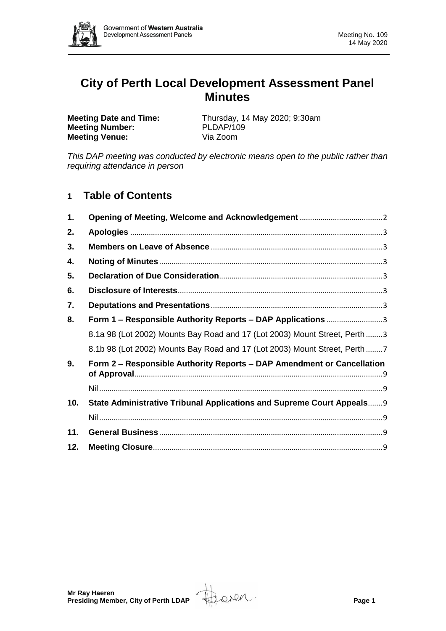

# **City of Perth Local Development Assessment Panel Minutes**

**Meeting Number: Meeting Venue:** Via Zoom

**Meeting Date and Time:** Thursday, 14 May 2020; 9:30am<br> **Meeting Number:** PLDAP/109

*This DAP meeting was conducted by electronic means open to the public rather than requiring attendance in person*

# **1 Table of Contents**

| 1.  |                                                                            |
|-----|----------------------------------------------------------------------------|
| 2.  |                                                                            |
| 3.  |                                                                            |
| 4.  |                                                                            |
| 5.  |                                                                            |
| 6.  |                                                                            |
| 7.  |                                                                            |
| 8.  | Form 1 - Responsible Authority Reports - DAP Applications 3                |
|     | 8.1a 98 (Lot 2002) Mounts Bay Road and 17 (Lot 2003) Mount Street, Perth 3 |
|     | 8.1b 98 (Lot 2002) Mounts Bay Road and 17 (Lot 2003) Mount Street, Perth 7 |
| 9.  | Form 2 – Responsible Authority Reports – DAP Amendment or Cancellation     |
| 10. | State Administrative Tribunal Applications and Supreme Court Appeals 9     |
|     |                                                                            |
| 11. |                                                                            |
| 12. |                                                                            |

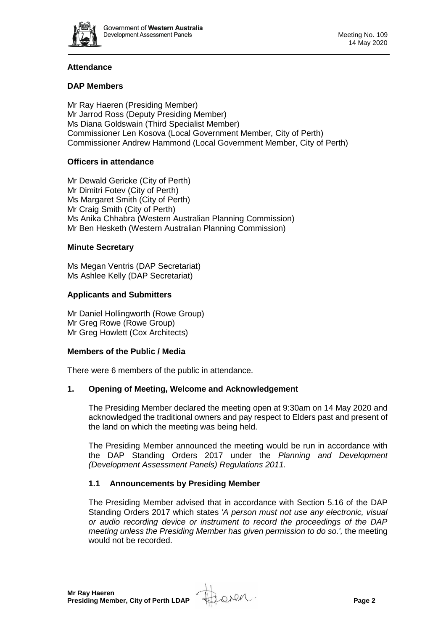

# **Attendance**

# **DAP Members**

Mr Ray Haeren (Presiding Member) Mr Jarrod Ross (Deputy Presiding Member) Ms Diana Goldswain (Third Specialist Member) Commissioner Len Kosova (Local Government Member, City of Perth) Commissioner Andrew Hammond (Local Government Member, City of Perth)

# **Officers in attendance**

Mr Dewald Gericke (City of Perth) Mr Dimitri Fotev (City of Perth) Ms Margaret Smith (City of Perth) Mr Craig Smith (City of Perth) Ms Anika Chhabra (Western Australian Planning Commission) Mr Ben Hesketh (Western Australian Planning Commission)

#### **Minute Secretary**

Ms Megan Ventris (DAP Secretariat) Ms Ashlee Kelly (DAP Secretariat)

#### **Applicants and Submitters**

Mr Daniel Hollingworth (Rowe Group) Mr Greg Rowe (Rowe Group) Mr Greg Howlett (Cox Architects)

#### **Members of the Public / Media**

There were 6 members of the public in attendance.

#### <span id="page-1-0"></span>**1. Opening of Meeting, Welcome and Acknowledgement**

The Presiding Member declared the meeting open at 9:30am on 14 May 2020 and acknowledged the traditional owners and pay respect to Elders past and present of the land on which the meeting was being held.

The Presiding Member announced the meeting would be run in accordance with the DAP Standing Orders 2017 under the *Planning and Development (Development Assessment Panels) Regulations 2011.*

#### **1.1 Announcements by Presiding Member**

The Presiding Member advised that in accordance with Section 5.16 of the DAP Standing Orders 2017 which states *'A person must not use any electronic, visual or audio recording device or instrument to record the proceedings of the DAP meeting unless the Presiding Member has given permission to do so.',* the meeting would not be recorded.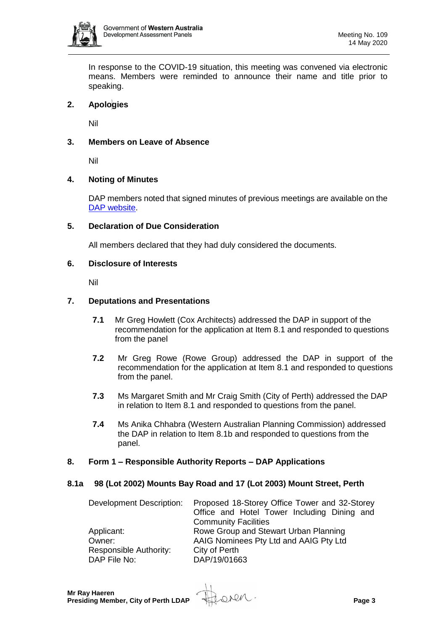

In response to the COVID-19 situation, this meeting was convened via electronic means. Members were reminded to announce their name and title prior to speaking.

#### <span id="page-2-0"></span>**2. Apologies**

Nil

#### <span id="page-2-1"></span>**3. Members on Leave of Absence**

Nil

#### <span id="page-2-2"></span>**4. Noting of Minutes**

DAP members noted that signed minutes of previous meetings are available on the [DAP website.](https://www.dplh.wa.gov.au/about/development-assessment-panels/daps-agendas-and-minutes)

#### <span id="page-2-3"></span>**5. Declaration of Due Consideration**

All members declared that they had duly considered the documents.

#### <span id="page-2-4"></span>**6. Disclosure of Interests**

Nil

#### <span id="page-2-5"></span>**7. Deputations and Presentations**

- **7.1** Mr Greg Howlett (Cox Architects) addressed the DAP in support of the recommendation for the application at Item 8.1 and responded to questions from the panel
- **7.2** Mr Greg Rowe (Rowe Group) addressed the DAP in support of the recommendation for the application at Item 8.1 and responded to questions from the panel.
- **7.3** Ms Margaret Smith and Mr Craig Smith (City of Perth) addressed the DAP in relation to Item 8.1 and responded to questions from the panel.
- **7.4** Ms Anika Chhabra (Western Australian Planning Commission) addressed the DAP in relation to Item 8.1b and responded to questions from the panel.

#### <span id="page-2-6"></span>**8. Form 1 – Responsible Authority Reports – DAP Applications**

#### <span id="page-2-7"></span>**8.1a 98 (Lot 2002) Mounts Bay Road and 17 (Lot 2003) Mount Street, Perth**

| Development Description:      | Proposed 18-Storey Office Tower and 32-Storey |
|-------------------------------|-----------------------------------------------|
|                               | Office and Hotel Tower Including Dining and   |
|                               | <b>Community Facilities</b>                   |
| Applicant:                    | Rowe Group and Stewart Urban Planning         |
| Owner:                        | AAIG Nominees Pty Ltd and AAIG Pty Ltd        |
| <b>Responsible Authority:</b> | City of Perth                                 |
| DAP File No:                  | DAP/19/01663                                  |

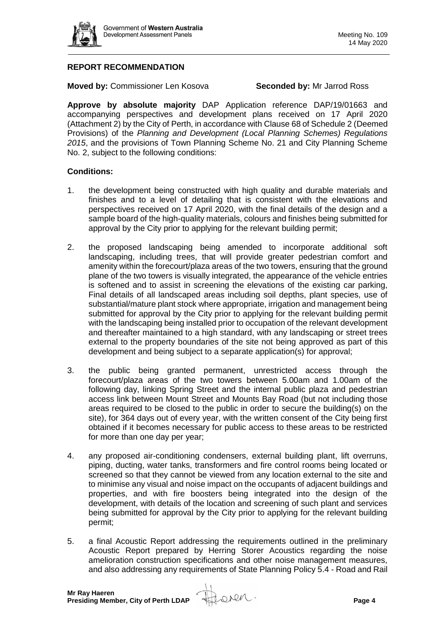

# **REPORT RECOMMENDATION**

**Moved by:** Commissioner Len Kosova **Seconded by:** Mr Jarrod Ross

**Approve by absolute majority** DAP Application reference DAP/19/01663 and accompanying perspectives and development plans received on 17 April 2020 (Attachment 2) by the City of Perth, in accordance with Clause 68 of Schedule 2 (Deemed Provisions) of the *Planning and Development (Local Planning Schemes) Regulations 2015*, and the provisions of Town Planning Scheme No. 21 and City Planning Scheme No. 2, subject to the following conditions:

#### **Conditions:**

- 1. the development being constructed with high quality and durable materials and finishes and to a level of detailing that is consistent with the elevations and perspectives received on 17 April 2020, with the final details of the design and a sample board of the high-quality materials, colours and finishes being submitted for approval by the City prior to applying for the relevant building permit;
- 2. the proposed landscaping being amended to incorporate additional soft landscaping, including trees, that will provide greater pedestrian comfort and amenity within the forecourt/plaza areas of the two towers, ensuring that the ground plane of the two towers is visually integrated, the appearance of the vehicle entries is softened and to assist in screening the elevations of the existing car parking, Final details of all landscaped areas including soil depths, plant species, use of substantial/mature plant stock where appropriate, irrigation and management being submitted for approval by the City prior to applying for the relevant building permit with the landscaping being installed prior to occupation of the relevant development and thereafter maintained to a high standard, with any landscaping or street trees external to the property boundaries of the site not being approved as part of this development and being subject to a separate application(s) for approval;
- 3. the public being granted permanent, unrestricted access through the forecourt/plaza areas of the two towers between 5.00am and 1.00am of the following day, linking Spring Street and the internal public plaza and pedestrian access link between Mount Street and Mounts Bay Road (but not including those areas required to be closed to the public in order to secure the building(s) on the site), for 364 days out of every year, with the written consent of the City being first obtained if it becomes necessary for public access to these areas to be restricted for more than one day per year;
- 4. any proposed air-conditioning condensers, external building plant, lift overruns, piping, ducting, water tanks, transformers and fire control rooms being located or screened so that they cannot be viewed from any location external to the site and to minimise any visual and noise impact on the occupants of adjacent buildings and properties, and with fire boosters being integrated into the design of the development, with details of the location and screening of such plant and services being submitted for approval by the City prior to applying for the relevant building permit;
- 5. a final Acoustic Report addressing the requirements outlined in the preliminary Acoustic Report prepared by Herring Storer Acoustics regarding the noise amelioration construction specifications and other noise management measures, and also addressing any requirements of State Planning Policy 5.4 - Road and Rail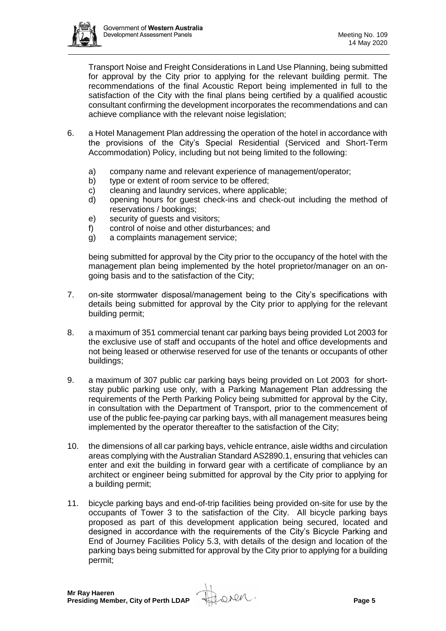

Transport Noise and Freight Considerations in Land Use Planning, being submitted for approval by the City prior to applying for the relevant building permit. The recommendations of the final Acoustic Report being implemented in full to the satisfaction of the City with the final plans being certified by a qualified acoustic consultant confirming the development incorporates the recommendations and can achieve compliance with the relevant noise legislation;

- 6. a Hotel Management Plan addressing the operation of the hotel in accordance with the provisions of the City's Special Residential (Serviced and Short-Term Accommodation) Policy, including but not being limited to the following:
	- a) company name and relevant experience of management/operator;
	- b) type or extent of room service to be offered;
	- c) cleaning and laundry services, where applicable;
	- d) opening hours for guest check-ins and check-out including the method of reservations / bookings;
	- e) security of guests and visitors;
	- f) control of noise and other disturbances; and
	- g) a complaints management service;

being submitted for approval by the City prior to the occupancy of the hotel with the management plan being implemented by the hotel proprietor/manager on an ongoing basis and to the satisfaction of the City;

- 7. on-site stormwater disposal/management being to the City's specifications with details being submitted for approval by the City prior to applying for the relevant building permit;
- 8. a maximum of 351 commercial tenant car parking bays being provided Lot 2003 for the exclusive use of staff and occupants of the hotel and office developments and not being leased or otherwise reserved for use of the tenants or occupants of other buildings;
- 9. a maximum of 307 public car parking bays being provided on Lot 2003 for shortstay public parking use only, with a Parking Management Plan addressing the requirements of the Perth Parking Policy being submitted for approval by the City, in consultation with the Department of Transport, prior to the commencement of use of the public fee-paying car parking bays, with all management measures being implemented by the operator thereafter to the satisfaction of the City;
- 10. the dimensions of all car parking bays, vehicle entrance, aisle widths and circulation areas complying with the Australian Standard AS2890.1, ensuring that vehicles can enter and exit the building in forward gear with a certificate of compliance by an architect or engineer being submitted for approval by the City prior to applying for a building permit;
- 11. bicycle parking bays and end-of-trip facilities being provided on-site for use by the occupants of Tower 3 to the satisfaction of the City. All bicycle parking bays proposed as part of this development application being secured, located and designed in accordance with the requirements of the City's Bicycle Parking and End of Journey Facilities Policy 5.3, with details of the design and location of the parking bays being submitted for approval by the City prior to applying for a building permit;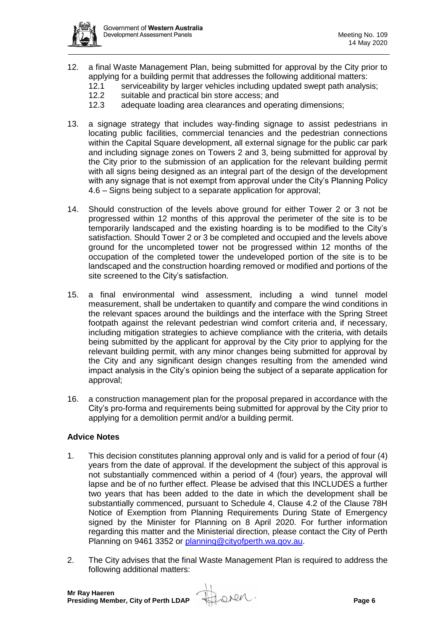

- 12. a final Waste Management Plan, being submitted for approval by the City prior to applying for a building permit that addresses the following additional matters:
	- 12.1 serviceability by larger vehicles including updated swept path analysis;<br>12.2 suitable and practical bin store access: and
	- suitable and practical bin store access; and
	- 12.3 adequate loading area clearances and operating dimensions;
- 13. a signage strategy that includes way-finding signage to assist pedestrians in locating public facilities, commercial tenancies and the pedestrian connections within the Capital Square development, all external signage for the public car park and including signage zones on Towers 2 and 3, being submitted for approval by the City prior to the submission of an application for the relevant building permit with all signs being designed as an integral part of the design of the development with any signage that is not exempt from approval under the City's Planning Policy 4.6 – Signs being subject to a separate application for approval;
- 14. Should construction of the levels above ground for either Tower 2 or 3 not be progressed within 12 months of this approval the perimeter of the site is to be temporarily landscaped and the existing hoarding is to be modified to the City's satisfaction. Should Tower 2 or 3 be completed and occupied and the levels above ground for the uncompleted tower not be progressed within 12 months of the occupation of the completed tower the undeveloped portion of the site is to be landscaped and the construction hoarding removed or modified and portions of the site screened to the City's satisfaction.
- 15. a final environmental wind assessment, including a wind tunnel model measurement, shall be undertaken to quantify and compare the wind conditions in the relevant spaces around the buildings and the interface with the Spring Street footpath against the relevant pedestrian wind comfort criteria and, if necessary, including mitigation strategies to achieve compliance with the criteria, with details being submitted by the applicant for approval by the City prior to applying for the relevant building permit, with any minor changes being submitted for approval by the City and any significant design changes resulting from the amended wind impact analysis in the City's opinion being the subject of a separate application for approval;
- 16. a construction management plan for the proposal prepared in accordance with the City's pro-forma and requirements being submitted for approval by the City prior to applying for a demolition permit and/or a building permit.

#### **Advice Notes**

- 1. This decision constitutes planning approval only and is valid for a period of four (4) years from the date of approval. If the development the subject of this approval is not substantially commenced within a period of 4 (four) years, the approval will lapse and be of no further effect. Please be advised that this INCLUDES a further two years that has been added to the date in which the development shall be substantially commenced, pursuant to Schedule 4, Clause 4.2 of the Clause 78H Notice of Exemption from Planning Requirements During State of Emergency signed by the Minister for Planning on 8 April 2020. For further information regarding this matter and the Ministerial direction, please contact the City of Perth Planning on 9461 3352 or [planning@cityofperth.wa.gov.au.](mailto:planning@cityofperth.wa.gov.au)
- 2. The City advises that the final Waste Management Plan is required to address the following additional matters: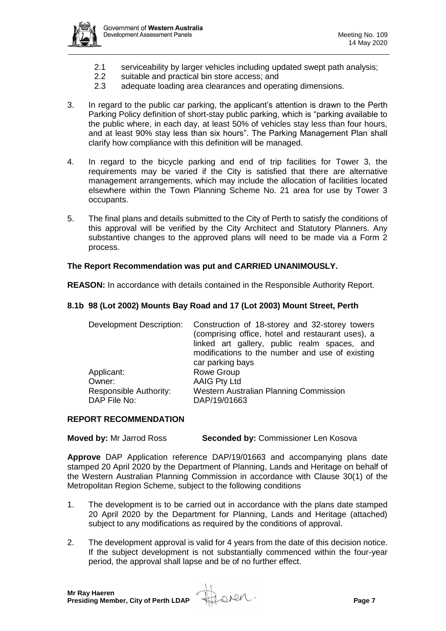

- 2.1 serviceability by larger vehicles including updated swept path analysis;
- 2.2 suitable and practical bin store access; and<br>2.3 adequate loading area clearances and oper
- adequate loading area clearances and operating dimensions.
- 3. In regard to the public car parking, the applicant's attention is drawn to the Perth Parking Policy definition of short-stay public parking, which is "parking available to the public where, in each day, at least 50% of vehicles stay less than four hours, and at least 90% stay less than six hours". The Parking Management Plan shall clarify how compliance with this definition will be managed.
- 4. In regard to the bicycle parking and end of trip facilities for Tower 3, the requirements may be varied if the City is satisfied that there are alternative management arrangements, which may include the allocation of facilities located elsewhere within the Town Planning Scheme No. 21 area for use by Tower 3 occupants.
- 5. The final plans and details submitted to the City of Perth to satisfy the conditions of this approval will be verified by the City Architect and Statutory Planners. Any substantive changes to the approved plans will need to be made via a Form 2 process.

#### **The Report Recommendation was put and CARRIED UNANIMOUSLY.**

**REASON:** In accordance with details contained in the Responsible Authority Report.

#### <span id="page-6-0"></span>**8.1b 98 (Lot 2002) Mounts Bay Road and 17 (Lot 2003) Mount Street, Perth**

| <b>Development Description:</b>        | Construction of 18-storey and 32-storey towers<br>(comprising office, hotel and restaurant uses), a<br>linked art gallery, public realm spaces, and<br>modifications to the number and use of existing<br>car parking bays |
|----------------------------------------|----------------------------------------------------------------------------------------------------------------------------------------------------------------------------------------------------------------------------|
| Applicant:                             | Rowe Group                                                                                                                                                                                                                 |
| Owner:                                 | <b>AAIG Pty Ltd</b>                                                                                                                                                                                                        |
| Responsible Authority:<br>DAP File No: | Western Australian Planning Commission<br>DAP/19/01663                                                                                                                                                                     |

#### **REPORT RECOMMENDATION**

**Moved by:** Mr Jarrod Ross **Seconded by:** Commissioner Len Kosova

**Approve** DAP Application reference DAP/19/01663 and accompanying plans date stamped 20 April 2020 by the Department of Planning, Lands and Heritage on behalf of the Western Australian Planning Commission in accordance with Clause 30(1) of the Metropolitan Region Scheme, subject to the following conditions

- 1. The development is to be carried out in accordance with the plans date stamped 20 April 2020 by the Department for Planning, Lands and Heritage (attached) subject to any modifications as required by the conditions of approval.
- 2. The development approval is valid for 4 years from the date of this decision notice. If the subject development is not substantially commenced within the four-year period, the approval shall lapse and be of no further effect.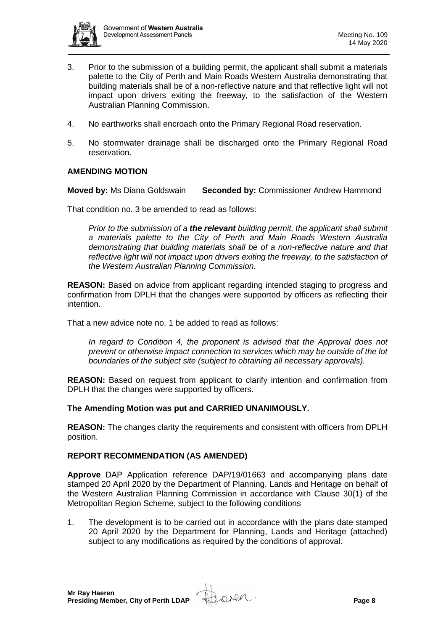

- 3. Prior to the submission of a building permit, the applicant shall submit a materials palette to the City of Perth and Main Roads Western Australia demonstrating that building materials shall be of a non-reflective nature and that reflective light will not impact upon drivers exiting the freeway, to the satisfaction of the Western Australian Planning Commission.
- 4. No earthworks shall encroach onto the Primary Regional Road reservation.
- 5. No stormwater drainage shall be discharged onto the Primary Regional Road reservation.

#### **AMENDING MOTION**

**Moved by:** Ms Diana Goldswain **Seconded by:** Commissioner Andrew Hammond

That condition no. 3 be amended to read as follows:

*Prior to the submission of a the relevant building permit, the applicant shall submit a materials palette to the City of Perth and Main Roads Western Australia demonstrating that building materials shall be of a non-reflective nature and that reflective light will not impact upon drivers exiting the freeway, to the satisfaction of the Western Australian Planning Commission.* 

**REASON:** Based on advice from applicant regarding intended staging to progress and confirmation from DPLH that the changes were supported by officers as reflecting their intention.

That a new advice note no. 1 be added to read as follows:

*In regard to Condition 4, the proponent is advised that the Approval does not prevent or otherwise impact connection to services which may be outside of the lot boundaries of the subject site (subject to obtaining all necessary approvals).*

**REASON:** Based on request from applicant to clarify intention and confirmation from DPLH that the changes were supported by officers.

**The Amending Motion was put and CARRIED UNANIMOUSLY.**

**REASON:** The changes clarity the requirements and consistent with officers from DPLH position.

#### **REPORT RECOMMENDATION (AS AMENDED)**

**Approve** DAP Application reference DAP/19/01663 and accompanying plans date stamped 20 April 2020 by the Department of Planning, Lands and Heritage on behalf of the Western Australian Planning Commission in accordance with Clause 30(1) of the Metropolitan Region Scheme, subject to the following conditions

1. The development is to be carried out in accordance with the plans date stamped 20 April 2020 by the Department for Planning, Lands and Heritage (attached) subject to any modifications as required by the conditions of approval.